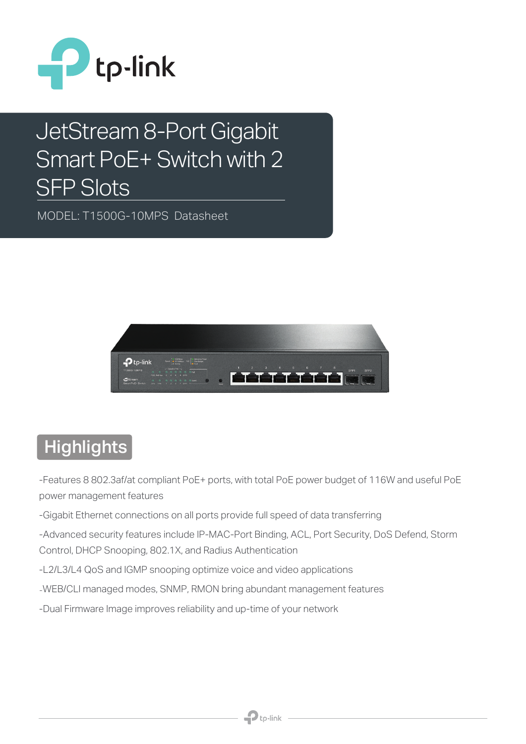

# JetStream 8-Port Gigabit Smart PoE+ Switch with 2 SFP Slots

MODEL: T1500G-10MPS Datasheet



### **Highlights**

-Features 8 802.3af/at compliant PoE+ ports, with total PoE power budget of 116W and useful PoE power management features

-Gigabit Ethernet connections on all ports provide full speed of data transferring

-Advanced security features include IP-MAC-Port Binding, ACL, Port Security, DoS Defend, Storm Control, DHCP Snooping, 802.1X, and Radius Authentication

- -L2/L3/L4 QoS and IGMP snooping optimize voice and video applications
- -WEB/CLI managed modes, SNMP, RMON bring abundant management features
- -Dual Firmware Image improves reliability and up-time of your network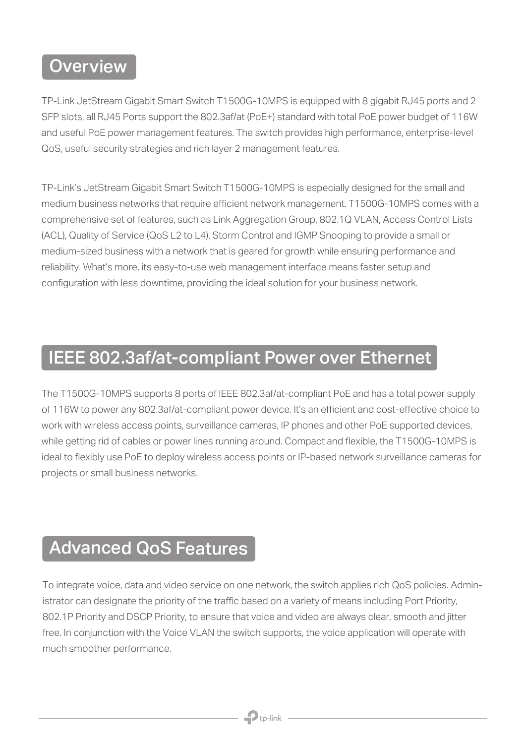#### **Overview**

TP-Link JetStream Gigabit Smart Switch T1500G-10MPS is equipped with 8 gigabit RJ45 ports and 2 SFP slots, all RJ45 Ports support the 802.3af/at (PoE+) standard with total PoE power budget of 116W and useful PoE power management features. The switch provides high performance, enterprise-level QoS, useful security strategies and rich layer 2 management features.

TP-Link's JetStream Gigabit Smart Switch T1500G-10MPS is especially designed for the small and medium business networks that require efficient network management. T1500G-10MPS comes with a comprehensive set of features, such as Link Aggregation Group, 802.1Q VLAN, Access Control Lists (ACL), Quality of Service (QoS L2 to L4), Storm Control and IGMP Snooping to provide a small or medium-sized business with a network that is geared for growth while ensuring performance and reliability. What's more, its easy-to-use web management interface means faster setup and configuration with less downtime, providing the ideal solution for your business network.

#### IEEE 802.3af/at-compliant Power over Ethernet

The T1500G-10MPS supports 8 ports of IEEE 802.3af/at-compliant PoE and has a total power supply of 116W to power any 802.3af/at-compliant power device. It's an efficient and cost-effective choice to work with wireless access points, surveillance cameras, IP phones and other PoE supported devices, while getting rid of cables or power lines running around. Compact and flexible, the T1500G-10MPS is ideal to flexibly use PoE to deploy wireless access points or IP-based network surveillance cameras for projects or small business networks.

#### Advanced QoS Features

To integrate voice, data and video service on one network, the switch applies rich QoS policies. Administrator can designate the priority of the traffic based on a variety of means including Port Priority, 802.1P Priority and DSCP Priority, to ensure that voice and video are always clear, smooth and jitter free. In conjunction with the Voice VLAN the switch supports, the voice application will operate with much smoother performance.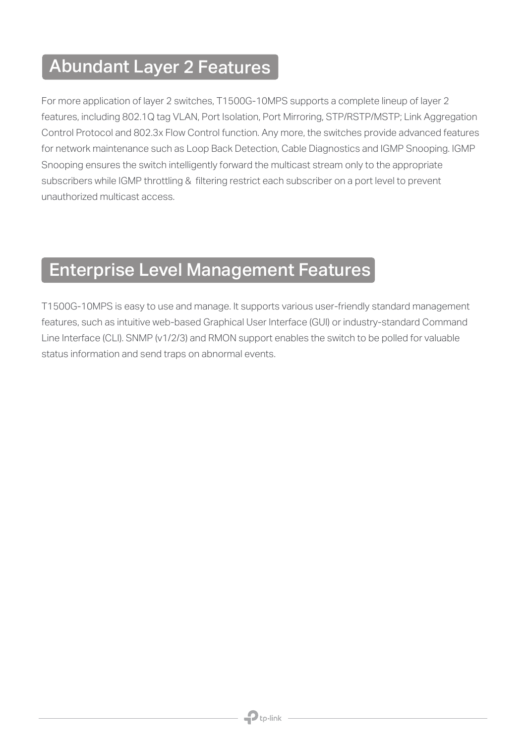#### Abundant Layer 2 Features

For more application of layer 2 switches, T1500G-10MPS supports a complete lineup of layer 2 features, including 802.1Q tag VLAN, Port Isolation, Port Mirroring, STP/RSTP/MSTP; Link Aggregation Control Protocol and 802.3x Flow Control function. Any more, the switches provide advanced features for network maintenance such as Loop Back Detection, Cable Diagnostics and IGMP Snooping. IGMP Snooping ensures the switch intelligently forward the multicast stream only to the appropriate subscribers while IGMP throttling & filtering restrict each subscriber on a port level to prevent unauthorized multicast access.

### Enterprise Level Management Features

T1500G-10MPS is easy to use and manage. It supports various user-friendly standard management features, such as intuitive web-based Graphical User Interface (GUI) or industry-standard Command Line Interface (CLI). SNMP (v1/2/3) and RMON support enables the switch to be polled for valuable status information and send traps on abnormal events.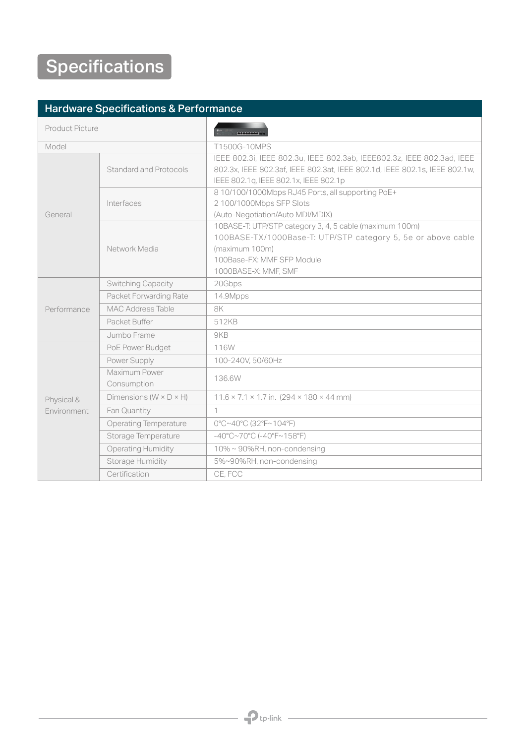#### Hardware Specifications & Performance

| <b>Product Picture</b>    |                                      | <b>ANGELIA DE</b>                                                                                                                                    |
|---------------------------|--------------------------------------|------------------------------------------------------------------------------------------------------------------------------------------------------|
| Model                     |                                      | T1500G-10MPS                                                                                                                                         |
| General                   | Standard and Protocols               | IEEE 802.3i, IEEE 802.3u, IEEE 802.3ab, IEEE802.3z, IEEE 802.3ad, IEEE<br>802.3x, IEEE 802.3af, IEEE 802.3at, IEEE 802.1d, IEEE 802.1s, IEEE 802.1w, |
|                           |                                      | IEEE 802.1q, IEEE 802.1x, IEEE 802.1p                                                                                                                |
|                           | Interfaces                           | 8 10/100/1000Mbps RJ45 Ports, all supporting PoE+                                                                                                    |
|                           |                                      | 2 100/1000Mbps SFP Slots                                                                                                                             |
|                           |                                      | (Auto-Negotiation/Auto MDI/MDIX)                                                                                                                     |
|                           | Network Media                        | 10BASE-T: UTP/STP category 3, 4, 5 cable (maximum 100m)                                                                                              |
|                           |                                      | 100BASE-TX/1000Base-T: UTP/STP category 5, 5e or above cable                                                                                         |
|                           |                                      | (maximum 100m)                                                                                                                                       |
|                           |                                      | 100Base-FX: MMF SFP Module                                                                                                                           |
|                           |                                      | 1000BASE-X: MMF, SMF                                                                                                                                 |
|                           | Switching Capacity                   | 20Gbps                                                                                                                                               |
| Performance               | Packet Forwarding Rate               | 14.9Mpps                                                                                                                                             |
|                           | <b>MAC Address Table</b>             | 8K                                                                                                                                                   |
|                           | Packet Buffer                        | 512KB                                                                                                                                                |
|                           | Jumbo Frame                          | 9KB                                                                                                                                                  |
| Physical &<br>Environment | PoE Power Budget                     | 116W                                                                                                                                                 |
|                           | Power Supply                         | 100-240V, 50/60Hz                                                                                                                                    |
|                           | Maximum Power                        | 136.6W                                                                                                                                               |
|                           | Consumption                          |                                                                                                                                                      |
|                           | Dimensions ( $W \times D \times H$ ) | $11.6 \times 7.1 \times 1.7$ in. (294 $\times$ 180 $\times$ 44 mm)                                                                                   |
|                           | Fan Quantity                         | $\mathbf 1$                                                                                                                                          |
|                           | <b>Operating Temperature</b>         | 0°C~40°C (32°F~104°F)                                                                                                                                |
|                           | Storage Temperature                  | $-40^{\circ}$ C~70°C (-40°F~158°F)                                                                                                                   |
|                           | <b>Operating Humidity</b>            | 10% ~ 90%RH, non-condensing                                                                                                                          |
|                           | <b>Storage Humidity</b>              | 5%~90%RH, non-condensing                                                                                                                             |
|                           | Certification                        | CE, FCC                                                                                                                                              |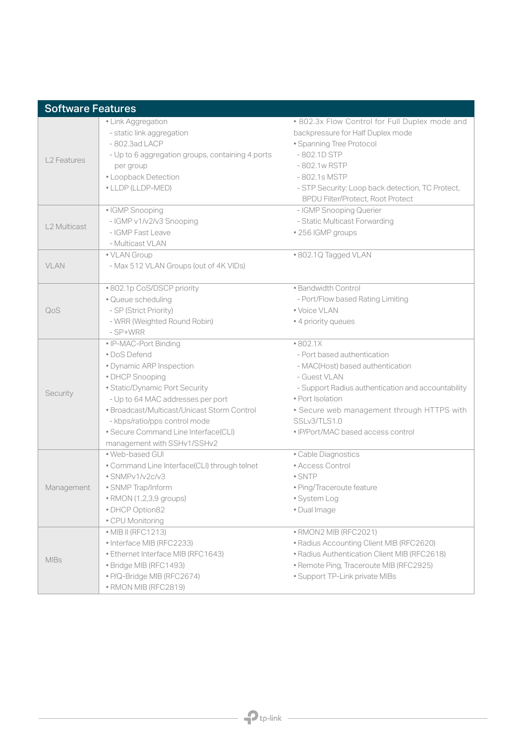| <b>Software Features</b> |                                                                                  |                                                                        |  |
|--------------------------|----------------------------------------------------------------------------------|------------------------------------------------------------------------|--|
|                          | • Link Aggregation                                                               | . 802.3x Flow Control for Full Duplex mode and                         |  |
| L <sub>2</sub> Features  | - static link aggregation                                                        | backpressure for Half Duplex mode                                      |  |
|                          | -802.3ad LACP                                                                    | • Spanning Tree Protocol                                               |  |
|                          | - Up to 6 aggregation groups, containing 4 ports                                 | $-802.1D$ STP                                                          |  |
|                          | per group                                                                        | -802.1w RSTP                                                           |  |
|                          | • Loopback Detection                                                             | -802.1s MSTP                                                           |  |
|                          | • LLDP (LLDP-MED)                                                                | - STP Security: Loop back detection, TC Protect,                       |  |
|                          |                                                                                  | <b>BPDU Filter/Protect, Root Protect</b>                               |  |
| L2 Multicast             | · IGMP Snooping                                                                  | - IGMP Snooping Querier                                                |  |
|                          | - IGMP v1/v2/v3 Snooping                                                         | - Static Multicast Forwarding                                          |  |
|                          | - IGMP Fast Leave                                                                | · 256 IGMP groups                                                      |  |
|                          | - Multicast VLAN                                                                 |                                                                        |  |
|                          | • VLAN Group                                                                     | .802.1Q Tagged VLAN                                                    |  |
| VLAN                     | - Max 512 VLAN Groups (out of 4K VIDs)                                           |                                                                        |  |
|                          |                                                                                  |                                                                        |  |
| QoS                      | • 802.1p CoS/DSCP priority                                                       | · Bandwidth Control                                                    |  |
|                          | · Queue scheduling                                                               | - Port/Flow based Rating Limiting                                      |  |
|                          | - SP (Strict Priority)                                                           | • Voice VLAN                                                           |  |
|                          | - WRR (Weighted Round Robin)                                                     | • 4 priority queues                                                    |  |
|                          | - SP+WRR<br>• IP-MAC-Port Binding                                                | •802.1X                                                                |  |
|                          | • DoS Defend                                                                     | - Port based authentication                                            |  |
|                          | · Dynamic ARP Inspection                                                         | - MAC(Host) based authentication                                       |  |
|                          |                                                                                  | - Guest VLAN                                                           |  |
| Security                 | · DHCP Snooping                                                                  |                                                                        |  |
|                          | · Static/Dynamic Port Security                                                   | - Support Radius authentication and accountability<br>· Port Isolation |  |
|                          | - Up to 64 MAC addresses per port<br>• Broadcast/Multicast/Unicast Storm Control |                                                                        |  |
|                          |                                                                                  | • Secure web management through HTTPS with<br>SSLv3/TLS1.0             |  |
|                          | - kbps/ratio/pps control mode<br>• Secure Command Line Interface(CLI)            | · IP/Port/MAC based access control                                     |  |
|                          | management with SSHv1/SSHv2                                                      |                                                                        |  |
|                          | · Web-based GUI                                                                  | · Cable Diagnostics                                                    |  |
|                          | • Command Line Interface(CLI) through telnet                                     | • Access Control                                                       |  |
|                          | · SNMPv1/v2c/v3                                                                  | $\bullet$ SNTP                                                         |  |
| Management               | • SNMP Trap/Inform                                                               | · Ping/Traceroute feature                                              |  |
|                          | • RMON (1,2,3,9 groups)                                                          | · System Log                                                           |  |
|                          | • DHCP Option82                                                                  | · Dual Image                                                           |  |
|                          | • CPU Monitoring                                                                 |                                                                        |  |
| <b>MIBs</b>              | • MIB II (RFC1213)                                                               | · RMON2 MIB (RFC2021)                                                  |  |
|                          | • Interface MIB (RFC2233)                                                        | • Radius Accounting Client MIB (RFC2620)                               |  |
|                          | • Ethernet Interface MIB (RFC1643)                                               | • Radius Authentication Client MIB (RFC2618)                           |  |
|                          | · Bridge MIB (RFC1493)                                                           | • Remote Ping, Traceroute MIB (RFC2925)                                |  |
|                          | · P/Q-Bridge MIB (RFC2674)                                                       | • Support TP-Link private MIBs                                         |  |
|                          | • RMON MIB (RFC2819)                                                             |                                                                        |  |
|                          |                                                                                  |                                                                        |  |

 $\overline{\phantom{a}}$